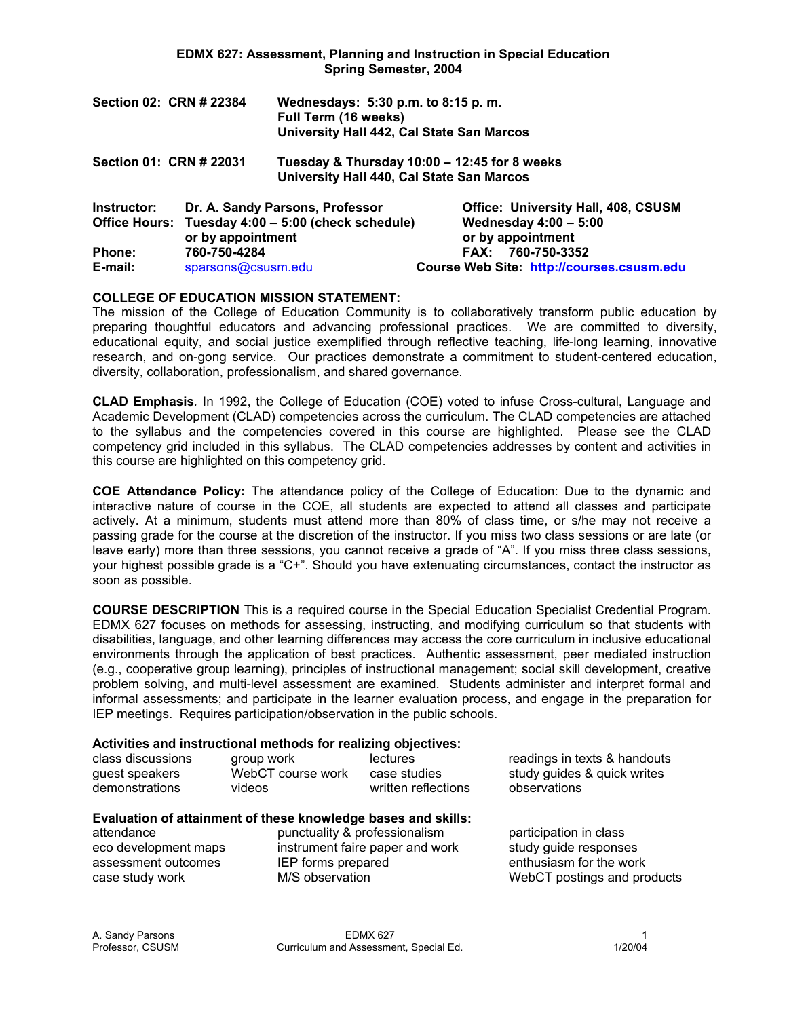|             | Section 02: CRN # 22384 | Wednesdays: 5:30 p.m. to 8:15 p.m.<br>Full Term (16 weeks)<br>University Hall 442, Cal State San Marcos |                                                   |
|-------------|-------------------------|---------------------------------------------------------------------------------------------------------|---------------------------------------------------|
|             | Section 01: CRN # 22031 | Tuesday & Thursday 10:00 - 12:45 for 8 weeks<br>University Hall 440, Cal State San Marcos               |                                                   |
| Instructor: |                         | Dr. A. Sandy Parsons, Professor                                                                         | <b>Office: University Hall, 408, CSUSM</b>        |
|             | or by appointment       | Office Hours: Tuesday 4:00 - 5:00 (check schedule)                                                      | <b>Wednesday 4:00 - 5:00</b><br>or by appointment |
| Phone:      | 760-750-4284            |                                                                                                         | FAX: 760-750-3352                                 |
| E-mail:     | sparsons@csusm.edu      |                                                                                                         | Course Web Site: http://courses.csusm.edu         |

## **COLLEGE OF EDUCATION MISSION STATEMENT:**

The mission of the College of Education Community is to collaboratively transform public education by preparing thoughtful educators and advancing professional practices. We are committed to diversity, educational equity, and social justice exemplified through reflective teaching, life-long learning, innovative research, and on-gong service. Our practices demonstrate a commitment to student-centered education, diversity, collaboration, professionalism, and shared governance.

**CLAD Emphasis***.* In 1992, the College of Education (COE) voted to infuse Cross-cultural, Language and Academic Development (CLAD) competencies across the curriculum. The CLAD competencies are attached to the syllabus and the competencies covered in this course are highlighted. Please see the CLAD competency grid included in this syllabus. The CLAD competencies addresses by content and activities in this course are highlighted on this competency grid.

**COE Attendance Policy:** The attendance policy of the College of Education: Due to the dynamic and interactive nature of course in the COE, all students are expected to attend all classes and participate actively. At a minimum, students must attend more than 80% of class time, or s/he may not receive a passing grade for the course at the discretion of the instructor. If you miss two class sessions or are late (or leave early) more than three sessions, you cannot receive a grade of "A". If you miss three class sessions, your highest possible grade is a "C+". Should you have extenuating circumstances, contact the instructor as soon as possible.

**COURSE DESCRIPTION** This is a required course in the Special Education Specialist Credential Program. EDMX 627 focuses on methods for assessing, instructing, and modifying curriculum so that students with disabilities, language, and other learning differences may access the core curriculum in inclusive educational environments through the application of best practices. Authentic assessment, peer mediated instruction (e.g., cooperative group learning), principles of instructional management; social skill development, creative problem solving, and multi-level assessment are examined. Students administer and interpret formal and informal assessments; and participate in the learner evaluation process, and engage in the preparation for IEP meetings. Requires participation/observation in the public schools.

### **Activities and instructional methods for realizing objectives:**

|                   |                   | .                   |                              |
|-------------------|-------------------|---------------------|------------------------------|
| class discussions | group work        | lectures            | readings in texts & handouts |
| guest speakers    | WebCT course work | case studies        | study guides & quick writes  |
| demonstrations    | videos            | written reflections | observations                 |

### **Evaluation of attainment of these knowledge bases and skills:**

attendance punctuality & professionalism participation in class eco development maps instrument faire paper and work study guide responses assessment outcomes IEP forms prepared enthusiasm for the work case study work **M/S** observation WebCT postings and products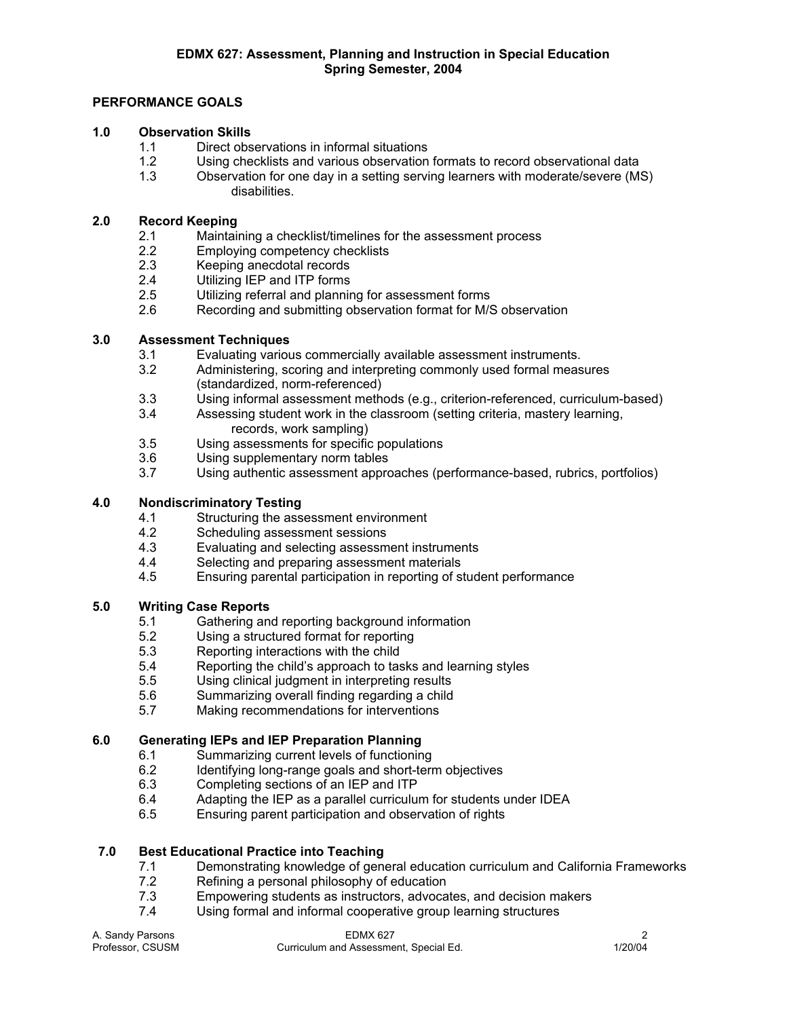# **PERFORMANCE GOALS**

## **1.0 Observation Skills**

- 1.1 Direct observations in informal situations
- 1.2 Using checklists and various observation formats to record observational data
- 1.3 Observation for one day in a setting serving learners with moderate/severe (MS) disabilities.

## **2.0 Record Keeping**

- 2.1 Maintaining a checklist/timelines for the assessment process
- 2.2 Employing competency checklists
- 2.3 Keeping anecdotal records
- 2.4 Utilizing IEP and ITP forms
- 2.5 Utilizing referral and planning for assessment forms
- 2.6 Recording and submitting observation format for M/S observation

## **3.0 Assessment Techniques**

- 3.1 Evaluating various commercially available assessment instruments.
- 3.2 Administering, scoring and interpreting commonly used formal measures (standardized, norm-referenced)
- 3.3 Using informal assessment methods (e.g., criterion-referenced, curriculum-based)
- 3.4 Assessing student work in the classroom (setting criteria, mastery learning, records, work sampling)
- 3.5 Using assessments for specific populations
- 3.6 Using supplementary norm tables
- 3.7 Using authentic assessment approaches (performance-based, rubrics, portfolios)

# **4.0 Nondiscriminatory Testing**

- 4.1 Structuring the assessment environment
- 4.2 Scheduling assessment sessions
- 4.3 Evaluating and selecting assessment instruments<br>4.4 Selecting and preparing assessment materials
- Selecting and preparing assessment materials
- 4.5 Ensuring parental participation in reporting of student performance

# **5.0 Writing Case Reports**

- 5.1 Gathering and reporting background information<br>5.2 Using a structured format for reporting
- 5.2 Using a structured format for reporting<br>5.3 Reporting interactions with the child
- Reporting interactions with the child
- 5.4 Reporting the child's approach to tasks and learning styles
- 5.5 Using clinical judgment in interpreting results
- 5.6 Summarizing overall finding regarding a child
- 5.7 Making recommendations for interventions

# **6.0 Generating IEPs and IEP Preparation Planning**

- 6.1 Summarizing current levels of functioning
- 6.2 Identifying long-range goals and short-term objectives
- 6.3 Completing sections of an IEP and ITP
- 6.4 Adapting the IEP as a parallel curriculum for students under IDEA
- 6.5 Ensuring parent participation and observation of rights

### **7.0 Best Educational Practice into Teaching**

- 7.1 Demonstrating knowledge of general education curriculum and California Frameworks<br>7.2 Refining a personal philosophy of education
- 7.2 Refining a personal philosophy of education<br>7.3 Empowering students as instructors, advoca
- 7.3 Empowering students as instructors, advocates, and decision makers
- 7.4 Using formal and informal cooperative group learning structures

| A. Sandy Parsons | EDMX 627                               |         |
|------------------|----------------------------------------|---------|
| Professor, CSUSM | Curriculum and Assessment, Special Ed. | 1/20/04 |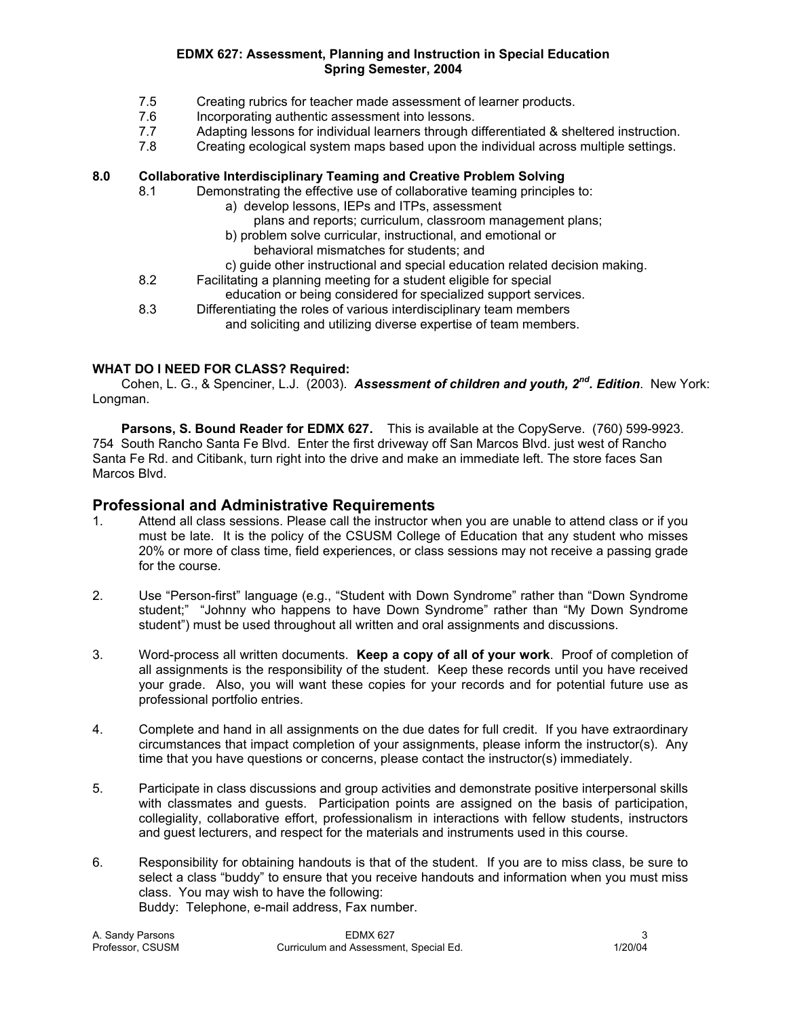- 7.5 Creating rubrics for teacher made assessment of learner products.
- 7.6 Incorporating authentic assessment into lessons.
- 7.7 Adapting lessons for individual learners through differentiated & sheltered instruction.
- 7.8 Creating ecological system maps based upon the individual across multiple settings.

# **8.0 Collaborative Interdisciplinary Teaming and Creative Problem Solving**

- 8.1 Demonstrating the effective use of collaborative teaming principles to:
	- a) develop lessons, IEPs and ITPs, assessment
		- plans and reports; curriculum, classroom management plans;
	- b) problem solve curricular, instructional, and emotional or
		- behavioral mismatches for students; and
	- c) guide other instructional and special education related decision making.
- 8.2 Facilitating a planning meeting for a student eligible for special education or being considered for specialized support services.
- 8.3 Differentiating the roles of various interdisciplinary team members and soliciting and utilizing diverse expertise of team members.

## **WHAT DO I NEED FOR CLASS? Required:**

 Cohen, L. G., & Spenciner, L.J. (2003). *Assessment of children and youth, 2nd. Edition*. New York: Longman.

**Parsons, S. Bound Reader for EDMX 627.** This is available at the CopyServe. (760) 599-9923. 754 South Rancho Santa Fe Blvd. Enter the first driveway off San Marcos Blvd. just west of Rancho Santa Fe Rd. and Citibank, turn right into the drive and make an immediate left. The store faces San Marcos Blvd.

# **Professional and Administrative Requirements**

- 1. Attend all class sessions. Please call the instructor when you are unable to attend class or if you must be late. It is the policy of the CSUSM College of Education that any student who misses 20% or more of class time, field experiences, or class sessions may not receive a passing grade for the course.
- 2. Use "Person-first" language (e.g., "Student with Down Syndrome" rather than "Down Syndrome student;" "Johnny who happens to have Down Syndrome" rather than "My Down Syndrome student") must be used throughout all written and oral assignments and discussions.
- 3. Word-process all written documents. **Keep a copy of all of your work**. Proof of completion of all assignments is the responsibility of the student. Keep these records until you have received your grade. Also, you will want these copies for your records and for potential future use as professional portfolio entries.
- 4. Complete and hand in all assignments on the due dates for full credit. If you have extraordinary circumstances that impact completion of your assignments, please inform the instructor(s). Any time that you have questions or concerns, please contact the instructor(s) immediately.
- 5. Participate in class discussions and group activities and demonstrate positive interpersonal skills with classmates and guests. Participation points are assigned on the basis of participation, collegiality, collaborative effort, professionalism in interactions with fellow students, instructors and guest lecturers, and respect for the materials and instruments used in this course.
- 6. Responsibility for obtaining handouts is that of the student. If you are to miss class, be sure to select a class "buddy" to ensure that you receive handouts and information when you must miss class. You may wish to have the following: Buddy: Telephone, e-mail address, Fax number.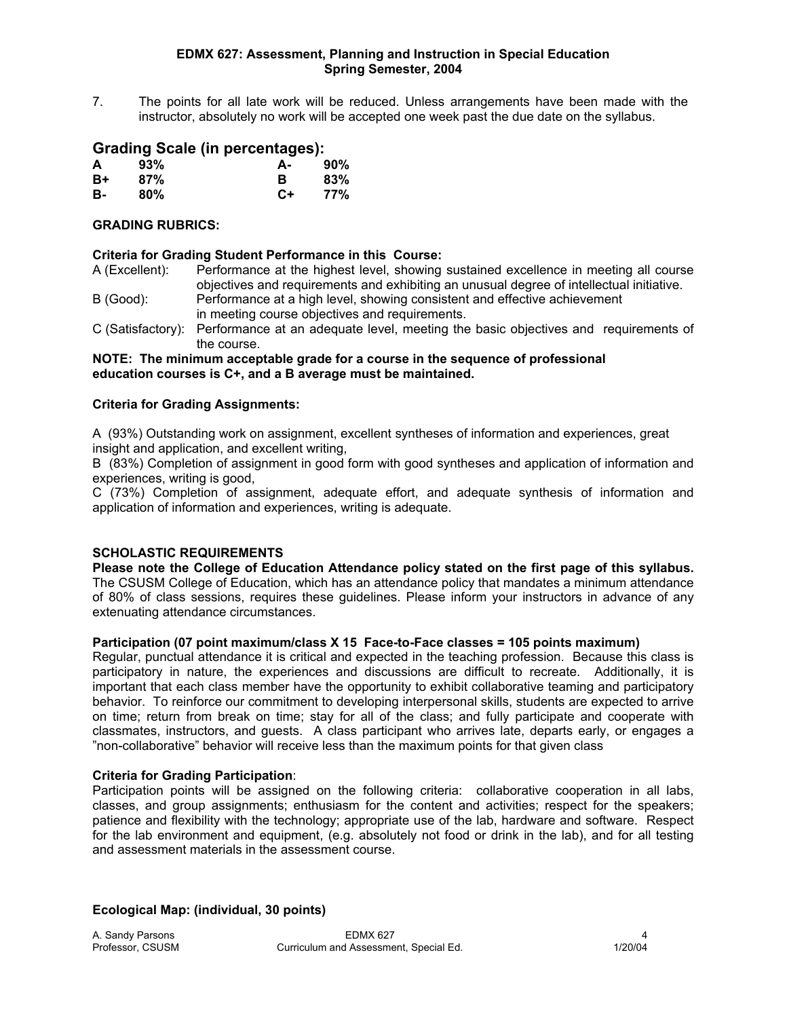7. The points for all late work will be reduced. Unless arrangements have been made with the instructor, absolutely no work will be accepted one week past the due date on the syllabus.

# **Grading Scale (in percentages):**

| A  | 93% | А-   | 90% |
|----|-----|------|-----|
| B+ | 87% | в    | 83% |
| в- | 80% | $C+$ | 77% |

## **GRADING RUBRICS:**

## **Criteria for Grading Student Performance in this Course:**

- A (Excellent): Performance at the highest level, showing sustained excellence in meeting all course objectives and requirements and exhibiting an unusual degree of intellectual initiative.
- B (Good): Performance at a high level, showing consistent and effective achievement in meeting course objectives and requirements.
- C (Satisfactory): Performance at an adequate level, meeting the basic objectives and requirements of the course.

#### **NOTE: The minimum acceptable grade for a course in the sequence of professional education courses is C+, and a B average must be maintained.**

## **Criteria for Grading Assignments:**

A (93%) Outstanding work on assignment, excellent syntheses of information and experiences, great insight and application, and excellent writing,

B (83%) Completion of assignment in good form with good syntheses and application of information and experiences, writing is good,

C (73%) Completion of assignment, adequate effort, and adequate synthesis of information and application of information and experiences, writing is adequate.

# **SCHOLASTIC REQUIREMENTS**

**Please note the College of Education Attendance policy stated on the first page of this syllabus.**  The CSUSM College of Education, which has an attendance policy that mandates a minimum attendance of 80% of class sessions, requires these guidelines. Please inform your instructors in advance of any extenuating attendance circumstances.

## **Participation (07 point maximum/class X 15 Face-to-Face classes = 105 points maximum)**

Regular, punctual attendance it is critical and expected in the teaching profession. Because this class is participatory in nature, the experiences and discussions are difficult to recreate. Additionally, it is important that each class member have the opportunity to exhibit collaborative teaming and participatory behavior. To reinforce our commitment to developing interpersonal skills, students are expected to arrive on time; return from break on time; stay for all of the class; and fully participate and cooperate with classmates, instructors, and guests. A class participant who arrives late, departs early, or engages a "non-collaborative" behavior will receive less than the maximum points for that given class

### **Criteria for Grading Participation**:

Participation points will be assigned on the following criteria: collaborative cooperation in all labs, classes, and group assignments; enthusiasm for the content and activities; respect for the speakers; patience and flexibility with the technology; appropriate use of the lab, hardware and software. Respect for the lab environment and equipment, (e.g. absolutely not food or drink in the lab), and for all testing and assessment materials in the assessment course.

**Ecological Map: (individual, 30 points)**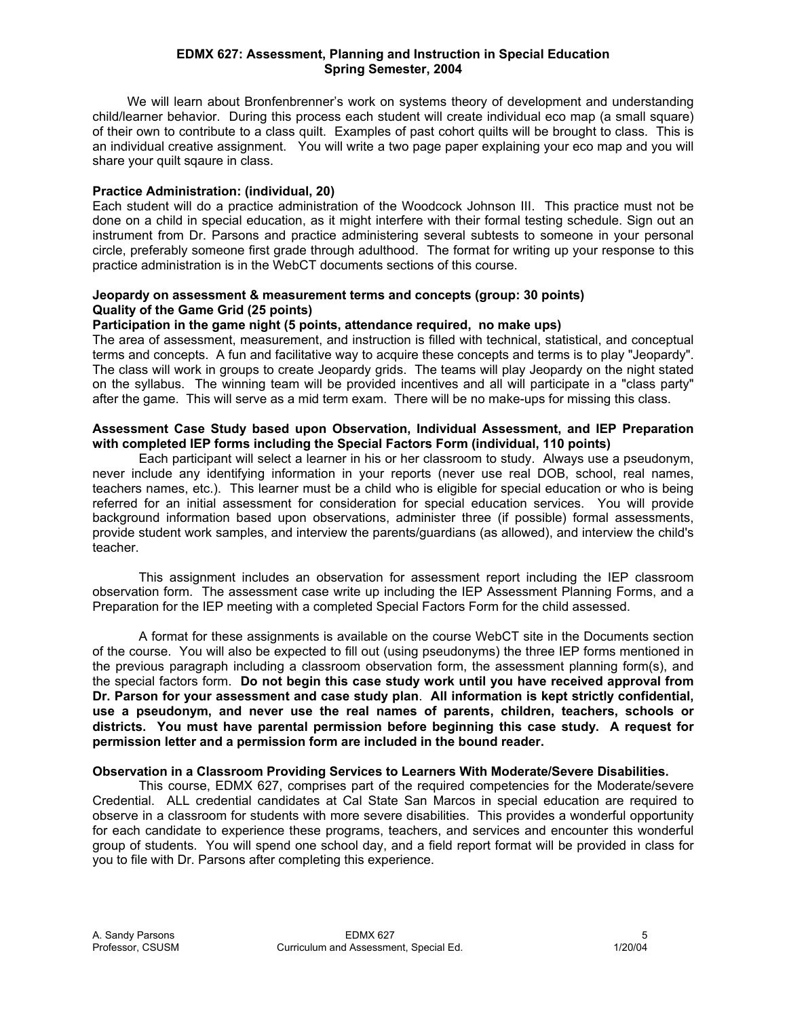We will learn about Bronfenbrenner's work on systems theory of development and understanding child/learner behavior. During this process each student will create individual eco map (a small square) of their own to contribute to a class quilt. Examples of past cohort quilts will be brought to class. This is an individual creative assignment. You will write a two page paper explaining your eco map and you will share your quilt sqaure in class.

## **Practice Administration: (individual, 20)**

Each student will do a practice administration of the Woodcock Johnson III. This practice must not be done on a child in special education, as it might interfere with their formal testing schedule. Sign out an instrument from Dr. Parsons and practice administering several subtests to someone in your personal circle, preferably someone first grade through adulthood. The format for writing up your response to this practice administration is in the WebCT documents sections of this course.

## **Jeopardy on assessment & measurement terms and concepts (group: 30 points) Quality of the Game Grid (25 points)**

## **Participation in the game night (5 points, attendance required, no make ups)**

The area of assessment, measurement, and instruction is filled with technical, statistical, and conceptual terms and concepts. A fun and facilitative way to acquire these concepts and terms is to play "Jeopardy". The class will work in groups to create Jeopardy grids. The teams will play Jeopardy on the night stated on the syllabus. The winning team will be provided incentives and all will participate in a "class party" after the game. This will serve as a mid term exam. There will be no make-ups for missing this class.

### **Assessment Case Study based upon Observation, Individual Assessment, and IEP Preparation with completed IEP forms including the Special Factors Form (individual, 110 points)**

 Each participant will select a learner in his or her classroom to study. Always use a pseudonym, never include any identifying information in your reports (never use real DOB, school, real names, teachers names, etc.). This learner must be a child who is eligible for special education or who is being referred for an initial assessment for consideration for special education services. You will provide background information based upon observations, administer three (if possible) formal assessments, provide student work samples, and interview the parents/guardians (as allowed), and interview the child's teacher.

 This assignment includes an observation for assessment report including the IEP classroom observation form. The assessment case write up including the IEP Assessment Planning Forms, and a Preparation for the IEP meeting with a completed Special Factors Form for the child assessed.

 A format for these assignments is available on the course WebCT site in the Documents section of the course. You will also be expected to fill out (using pseudonyms) the three IEP forms mentioned in the previous paragraph including a classroom observation form, the assessment planning form(s), and the special factors form. **Do not begin this case study work until you have received approval from Dr. Parson for your assessment and case study plan**. **All information is kept strictly confidential, use a pseudonym, and never use the real names of parents, children, teachers, schools or districts. You must have parental permission before beginning this case study. A request for permission letter and a permission form are included in the bound reader.** 

### **Observation in a Classroom Providing Services to Learners With Moderate/Severe Disabilities.**

 This course, EDMX 627, comprises part of the required competencies for the Moderate/severe Credential. ALL credential candidates at Cal State San Marcos in special education are required to observe in a classroom for students with more severe disabilities. This provides a wonderful opportunity for each candidate to experience these programs, teachers, and services and encounter this wonderful group of students. You will spend one school day, and a field report format will be provided in class for you to file with Dr. Parsons after completing this experience.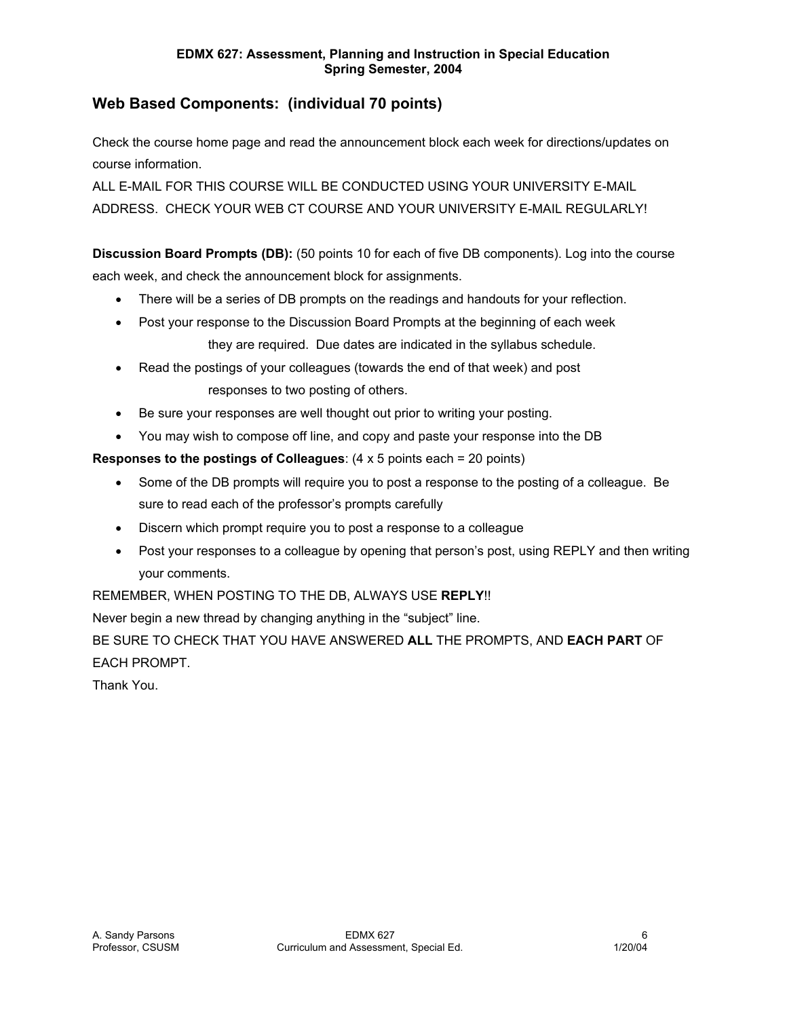# **Web Based Components: (individual 70 points)**

Check the course home page and read the announcement block each week for directions/updates on course information.

ALL E-MAIL FOR THIS COURSE WILL BE CONDUCTED USING YOUR UNIVERSITY E-MAIL ADDRESS. CHECK YOUR WEB CT COURSE AND YOUR UNIVERSITY E-MAIL REGULARLY!

**Discussion Board Prompts (DB):** (50 points 10 for each of five DB components). Log into the course each week, and check the announcement block for assignments.

- There will be a series of DB prompts on the readings and handouts for your reflection.
- Post your response to the Discussion Board Prompts at the beginning of each week they are required. Due dates are indicated in the syllabus schedule.
- Read the postings of your colleagues (towards the end of that week) and post responses to two posting of others.
- Be sure your responses are well thought out prior to writing your posting.
- You may wish to compose off line, and copy and paste your response into the DB

**Responses to the postings of Colleagues**: (4 x 5 points each = 20 points)

- Some of the DB prompts will require you to post a response to the posting of a colleague. Be sure to read each of the professor's prompts carefully
- Discern which prompt require you to post a response to a colleague
- Post your responses to a colleague by opening that person's post, using REPLY and then writing your comments.

REMEMBER, WHEN POSTING TO THE DB, ALWAYS USE **REPLY**!!

Never begin a new thread by changing anything in the "subject" line.

BE SURE TO CHECK THAT YOU HAVE ANSWERED **ALL** THE PROMPTS, AND **EACH PART** OF EACH PROMPT.

Thank You.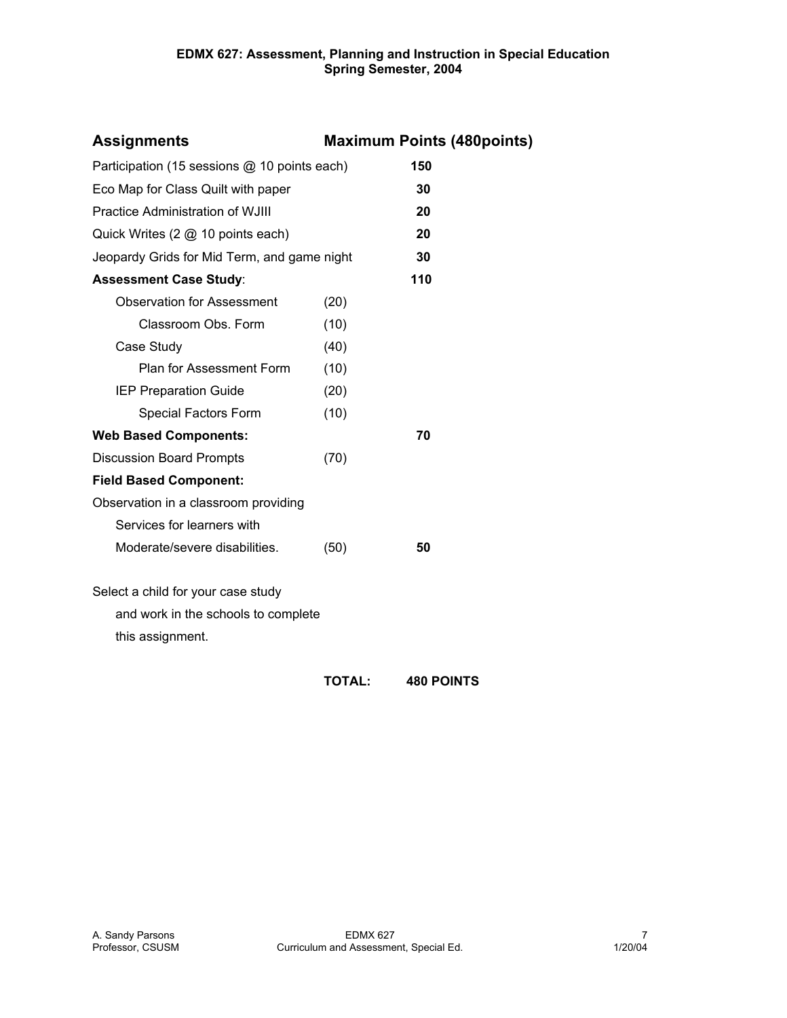| <b>Assignments</b>                           | <b>Maximum Points (480points)</b> |     |  |  |
|----------------------------------------------|-----------------------------------|-----|--|--|
| Participation (15 sessions @ 10 points each) |                                   | 150 |  |  |
| Eco Map for Class Quilt with paper           |                                   | 30  |  |  |
| Practice Administration of WJIII             |                                   | 20  |  |  |
| Quick Writes (2 @ 10 points each)            |                                   | 20  |  |  |
| Jeopardy Grids for Mid Term, and game night  |                                   | 30  |  |  |
| <b>Assessment Case Study:</b>                |                                   | 110 |  |  |
| <b>Observation for Assessment</b>            | (20)                              |     |  |  |
| Classroom Obs. Form                          | (10)                              |     |  |  |
| Case Study                                   | (40)                              |     |  |  |
| Plan for Assessment Form                     | (10)                              |     |  |  |
| <b>IEP Preparation Guide</b>                 | (20)                              |     |  |  |
| Special Factors Form                         | (10)                              |     |  |  |
| <b>Web Based Components:</b>                 |                                   | 70  |  |  |
| <b>Discussion Board Prompts</b>              | (70)                              |     |  |  |
| <b>Field Based Component:</b>                |                                   |     |  |  |
| Observation in a classroom providing         |                                   |     |  |  |
| Services for learners with                   |                                   |     |  |  |
| Moderate/severe disabilities.                | (50)                              | 50  |  |  |
| Select a child for your case study           |                                   |     |  |  |
| and work in the schools to complete          |                                   |     |  |  |
| this assignment.                             |                                   |     |  |  |
|                                              |                                   |     |  |  |

**TOTAL: 480 POINTS**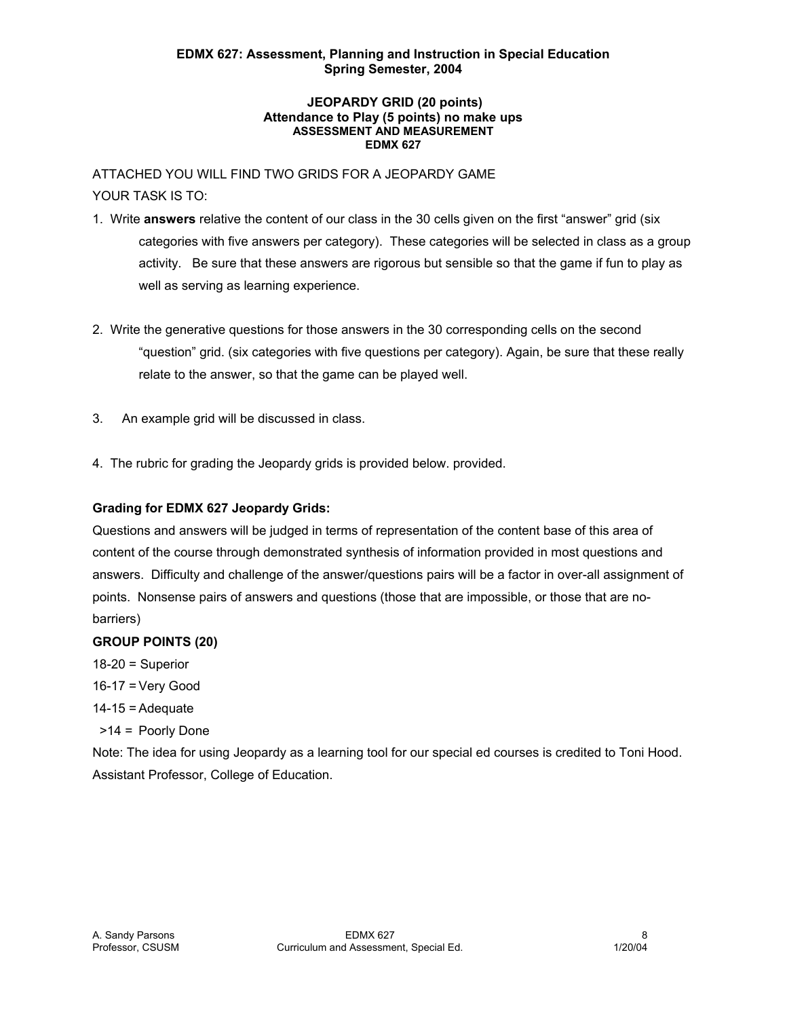#### **JEOPARDY GRID (20 points) Attendance to Play (5 points) no make ups ASSESSMENT AND MEASUREMENT EDMX 627**

ATTACHED YOU WILL FIND TWO GRIDS FOR A JEOPARDY GAME YOUR TASK IS TO:

- 1. Write **answers** relative the content of our class in the 30 cells given on the first "answer" grid (six categories with five answers per category). These categories will be selected in class as a group activity. Be sure that these answers are rigorous but sensible so that the game if fun to play as well as serving as learning experience.
- 2. Write the generative questions for those answers in the 30 corresponding cells on the second "question" grid. (six categories with five questions per category). Again, be sure that these really relate to the answer, so that the game can be played well.
- 3. An example grid will be discussed in class.
- 4. The rubric for grading the Jeopardy grids is provided below. provided.

# **Grading for EDMX 627 Jeopardy Grids:**

Questions and answers will be judged in terms of representation of the content base of this area of content of the course through demonstrated synthesis of information provided in most questions and answers. Difficulty and challenge of the answer/questions pairs will be a factor in over-all assignment of points. Nonsense pairs of answers and questions (those that are impossible, or those that are nobarriers)

# **GROUP POINTS (20)**

 $18-20$  = Superior

- 16-17 = Very Good
- $14-15$  = Adequate
- >14 = Poorly Done

Note: The idea for using Jeopardy as a learning tool for our special ed courses is credited to Toni Hood. Assistant Professor, College of Education.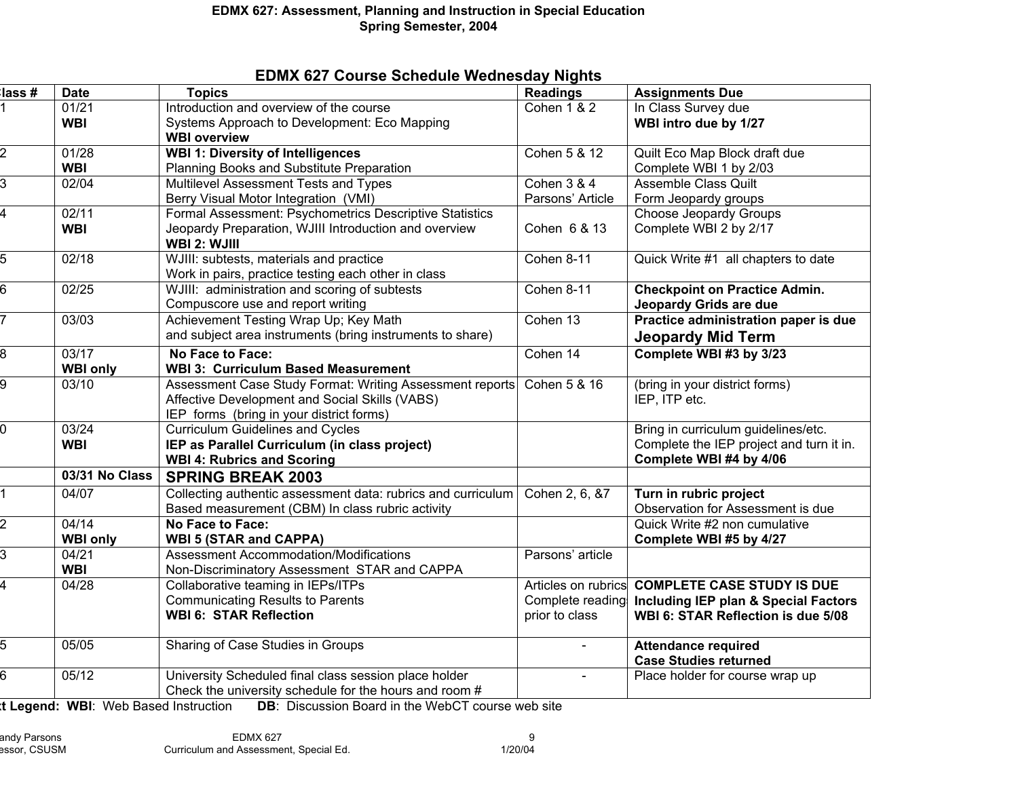|  |  |  | <b>EDMX 627 Course Schedule Wednesday Nights</b> |  |
|--|--|--|--------------------------------------------------|--|
|--|--|--|--------------------------------------------------|--|

| lass #           | <b>Date</b>     | <b>Topics</b>                                                         | <b>Readings</b>        | <b>Assignments Due</b>                         |
|------------------|-----------------|-----------------------------------------------------------------------|------------------------|------------------------------------------------|
|                  | 01/21           | Introduction and overview of the course                               | <b>Cohen 1 &amp; 2</b> | In Class Survey due                            |
|                  | <b>WBI</b>      | Systems Approach to Development: Eco Mapping                          |                        | WBI intro due by 1/27                          |
|                  |                 | <b>WBI overview</b>                                                   |                        |                                                |
| 2                | 01/28           | <b>WBI 1: Diversity of Intelligences</b>                              | Cohen 5 & 12           | Quilt Eco Map Block draft due                  |
|                  | <b>WBI</b>      | Planning Books and Substitute Preparation                             |                        | Complete WBI 1 by 2/03                         |
| 3                | 02/04           | Multilevel Assessment Tests and Types                                 | <b>Cohen 3 &amp; 4</b> | <b>Assemble Class Quilt</b>                    |
|                  |                 | Berry Visual Motor Integration (VMI)                                  | Parsons' Article       | Form Jeopardy groups                           |
| 4                | 02/11           | Formal Assessment: Psychometrics Descriptive Statistics               |                        | <b>Choose Jeopardy Groups</b>                  |
|                  | <b>WBI</b>      | Jeopardy Preparation, WJIII Introduction and overview<br>WBI 2: WJIII | Cohen 6 & 13           | Complete WBI 2 by 2/17                         |
| $\overline{5}$   | 02/18           | WJIII: subtests, materials and practice                               | Cohen 8-11             | Quick Write #1 all chapters to date            |
|                  |                 | Work in pairs, practice testing each other in class                   |                        |                                                |
| $6 \overline{6}$ | 02/25           | WJIII: administration and scoring of subtests                         | Cohen 8-11             | <b>Checkpoint on Practice Admin.</b>           |
|                  |                 | Compuscore use and report writing                                     |                        | Jeopardy Grids are due                         |
| $\overline{7}$   | 03/03           | Achievement Testing Wrap Up; Key Math                                 | Cohen 13               | Practice administration paper is due           |
|                  |                 | and subject area instruments (bring instruments to share)             |                        | <b>Jeopardy Mid Term</b>                       |
| $8\,$            | 03/17           | No Face to Face:                                                      | Cohen 14               | Complete WBI #3 by 3/23                        |
|                  | <b>WBI only</b> | <b>WBI 3: Curriculum Based Measurement</b>                            |                        |                                                |
| 9                | 03/10           | Assessment Case Study Format: Writing Assessment reports              | Cohen 5 & 16           | (bring in your district forms)                 |
|                  |                 | Affective Development and Social Skills (VABS)                        |                        | IEP, ITP etc.                                  |
|                  |                 | IEP forms (bring in your district forms)                              |                        |                                                |
| $\overline{0}$   | 03/24           | <b>Curriculum Guidelines and Cycles</b>                               |                        | Bring in curriculum guidelines/etc.            |
|                  | <b>WBI</b>      | IEP as Parallel Curriculum (in class project)                         |                        | Complete the IEP project and turn it in.       |
|                  |                 | <b>WBI 4: Rubrics and Scoring</b>                                     |                        | Complete WBI #4 by 4/06                        |
|                  | 03/31 No Class  | <b>SPRING BREAK 2003</b>                                              |                        |                                                |
| $\overline{1}$   | 04/07           | Collecting authentic assessment data: rubrics and curriculum          | Cohen 2, 6, &7         | Turn in rubric project                         |
|                  |                 | Based measurement (CBM) In class rubric activity                      |                        | Observation for Assessment is due              |
| 2                | 04/14           | No Face to Face:                                                      |                        | Quick Write #2 non cumulative                  |
|                  | <b>WBI only</b> | <b>WBI 5 (STAR and CAPPA)</b>                                         |                        | Complete WBI #5 by 4/27                        |
| $\overline{3}$   | 04/21           | Assessment Accommodation/Modifications                                | Parsons' article       |                                                |
|                  | <b>WBI</b>      | Non-Discriminatory Assessment STAR and CAPPA                          |                        |                                                |
| 4                | 04/28           | Collaborative teaming in IEPs/ITPs                                    |                        | Articles on rubrics COMPLETE CASE STUDY IS DUE |
|                  |                 | <b>Communicating Results to Parents</b>                               | Complete reading       | Including IEP plan & Special Factors           |
|                  |                 | <b>WBI 6: STAR Reflection</b>                                         | prior to class         | WBI 6: STAR Reflection is due 5/08             |
| 5                | 05/05           | Sharing of Case Studies in Groups                                     |                        | <b>Attendance required</b>                     |
|                  |                 |                                                                       |                        | <b>Case Studies returned</b>                   |
| 6                | 05/12           | University Scheduled final class session place holder                 |                        | Place holder for course wrap up                |
|                  |                 | Check the university schedule for the hours and room #                |                        |                                                |

**xt Legend: WBI**: Web Based Instruction **DB**: Discussion Board in the WebCT course web site